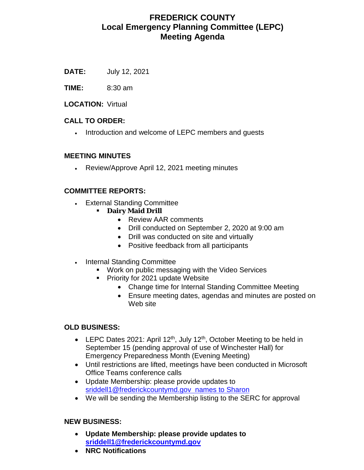# **FREDERICK COUNTY Local Emergency Planning Committee (LEPC) Meeting Agenda**

**DATE:** July 12, 2021

**TIME:** 8:30 am

**LOCATION:** Virtual

#### **CALL TO ORDER:**

• Introduction and welcome of LEPC members and guests

#### **MEETING MINUTES**

• Review/Approve April 12, 2021 meeting minutes

#### **COMMITTEE REPORTS:**

- External Standing Committee
	- **Dairy Maid Drill**
		- Review AAR comments
		- Drill conducted on September 2, 2020 at 9:00 am
		- Drill was conducted on site and virtually
		- Positive feedback from all participants
- Internal Standing Committee
	- **Work on public messaging with the Video Services**
	- **Priority for 2021 update Website** 
		- Change time for Internal Standing Committee Meeting
		- Ensure meeting dates, agendas and minutes are posted on Web site

### **OLD BUSINESS:**

- LEPC Dates 2021: April 12<sup>th</sup>, July 12<sup>th</sup>, October Meeting to be held in September 15 (pending approval of use of Winchester Hall) for Emergency Preparedness Month (Evening Meeting)
- Until restrictions are lifted, meetings have been conducted in Microsoft Office Teams conference calls
- Update Membership: please provide updates to [sriddell1@frederickcountymd.gov](mailto:sriddell1@frederickcountymd.gov) names to Sharon
- We will be sending the Membership listing to the SERC for approval

#### **NEW BUSINESS:**

- **Update Membership: please provide updates to [sriddell1@frederickcountymd.gov](mailto:sriddell1@frederickcountymd.gov)**
- **NRC Notifications**